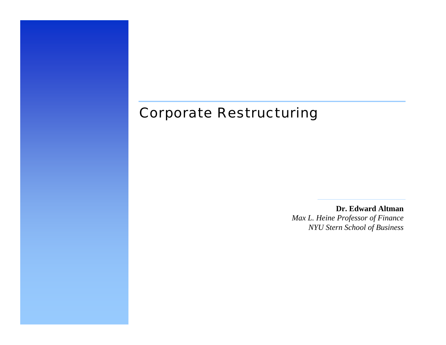### Corporate Restructuring

**Dr. Edward Altman***Max L. Heine Professor of Finance NYU Stern School of Business*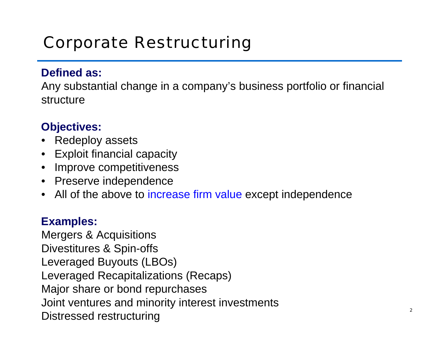# Corporate Restructuring

#### **Defined as:**

Any substantial change in a company's business portfolio or financial structure

### **Objectives:**

- •Redeploy assets
- $\bullet$ Exploit financial capacity
- •• Improve competitiveness
- •Preserve independence
- $\bullet$ All of the above to increase firm value except independence

#### **Examples:**

Mergers & Acquisitions Div estitures & Spin-offs Leveraged Buyouts (LBOs) Leveraged Recapitaliz ations (Recaps) Major share or bond repurchases Joint ventures and minority interest investments Distressed restructuring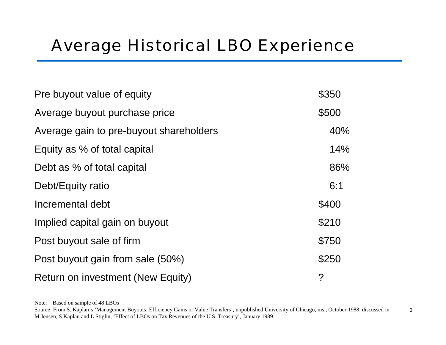# Average Historical LBO Experience

| Pre buyout value of equity              | \$350          |
|-----------------------------------------|----------------|
| Average buyout purchase price           | \$500          |
| Average gain to pre-buyout shareholders | 40%            |
| Equity as % of total capital            | 14%            |
| Debt as % of total capital              | 86%            |
| Debt/Equity ratio                       | 6:1            |
| Incremental debt                        | \$400          |
| Implied capital gain on buyout          | \$210          |
| Post buyout sale of firm                | \$750          |
| Post buyout gain from sale (50%)        | \$250          |
| Return on investment (New Equity)       | $\overline{?}$ |

Note: Based on sample of 48 LBOs

<sup>3</sup> Source: From S. Kaplan's 'Management Buyouts: Efficiency Gains or Value Transfers', unpublished University of Chicago, ms., October 1988, discussed in M.Jensen, S.Kaplan and L.Stiglin, 'Effect of LBOs on Tax Revenues of the U.S. Treasury', January 1989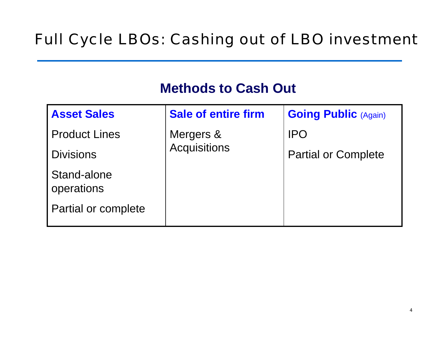# Full Cycle LBOs: Cashing out of LBO investment

### **Methods to Cash Out**

| <b>Asset Sales</b>        | <b>Sale of entire firm</b>       | <b>Going Public (Again)</b> |
|---------------------------|----------------------------------|-----------------------------|
| <b>Product Lines</b>      | Mergers &<br><b>Acquisitions</b> | <b>IPO</b>                  |
| <b>Divisions</b>          |                                  | <b>Partial or Complete</b>  |
| Stand-alone<br>operations |                                  |                             |
| Partial or complete       |                                  |                             |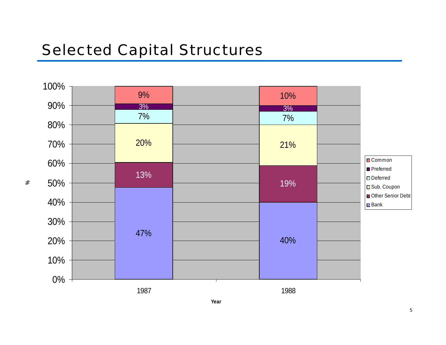# Selected Capital Structures

**%**

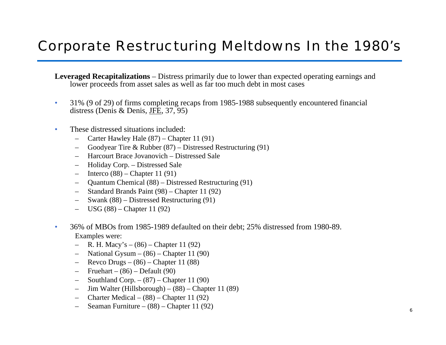## Corporate Restructuring Meltdowns In the 1980's

**Leveraged Recapitalizations** – Distress primarily due to lower than expected operating earnings and low er proceeds from asset sales as well as far too much debt in m ost cases

- • 31% (9 of 29) of firms com pleting recaps from 1985-1988 subsequently encountered financial distress (Denis & Denis, JFE, 37, 95)
- • These distressed situations included:
	- Carter Hawley Hale (87) Chapter 11 (91)
	- –Goodyear Tire & Rubber (87) – Distressed Restructuring (91)
	- –Harcourt Brace Jovanovich –Distressed Sale
	- –Holiday Corp. – Distressed Sale
	- –– Interco (88) – Chapter 11 (91)
	- –Quantum C hemical (88) – Distressed R estructuring (91)
	- –Standard Brands Pai nt (98) – Chapter 11 (92)
	- –Swank (88) – Distress ed Restructuring (91)
	- US G (88) Chapter 11 (92)
- • 36% of MBOs from 1985-1989 defaulted on their debt; 25% distressed from 1980-89. Examples were:
	- –R. H. Mac y's – (86) – Chapter 11 (92)
	- –National G ysu m – (86) – Chapter 11 (90)
	- –R e v c o Drugs – (86) – Chapter 11 (88)
	- –Fruehart – (86) – Default (90)
	- –Southland C orp. – (87) – Chapter 11 (90)
	- –Jim Walter (Hillsborough) – (88) – Chapter 11 (89)
	- –Charter Medical – (88) – Chapter 11 (92)
	- –Seaman Furniture – (88) – Chapter 11 (92)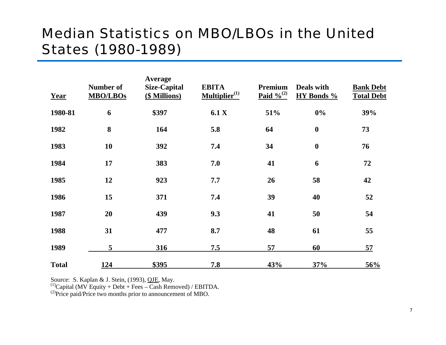### Median Statistics on MBO/LBOs in the United States (1980-1989)

| Year         | <b>Number of</b><br><b>MBO/LBOs</b> | Average<br><b>Size-Capital</b><br>(\$ Millions) | <b>EBITA</b><br>$\mathbf{Multiplier}^{(1)}$ | Premium<br>Paid $\frac{9}{6}$ <sup>(2)</sup> | Deals with<br>HY Bonds % | <b>Bank Debt</b><br><b>Total Debt</b> |
|--------------|-------------------------------------|-------------------------------------------------|---------------------------------------------|----------------------------------------------|--------------------------|---------------------------------------|
| 1980-81      | 6                                   | \$397                                           | 6.1 X                                       | 51%                                          | $0\%$                    | 39%                                   |
| 1982         | 8                                   | 164                                             | 5.8                                         | 64                                           | $\boldsymbol{0}$         | 73                                    |
| 1983         | 10                                  | 392                                             | 7.4                                         | 34                                           | $\boldsymbol{0}$         | 76                                    |
| 1984         | 17                                  | 383                                             | 7.0                                         | 41                                           | 6                        | 72                                    |
| 1985         | 12                                  | 923                                             | 7.7                                         | 26                                           | 58                       | 42                                    |
| 1986         | 15                                  | 371                                             | 7.4                                         | 39                                           | 40                       | 52                                    |
| 1987         | 20                                  | 439                                             | 9.3                                         | 41                                           | 50                       | 54                                    |
| 1988         | 31                                  | 477                                             | 8.7                                         | 48                                           | 61                       | 55                                    |
| 1989         | 5                                   | 316                                             | 7.5                                         | 57                                           | 60                       | 57                                    |
| <b>Total</b> | 124                                 | \$395                                           | 7.8                                         | 43%                                          | 37%                      | 56%                                   |

Source: S. Kaplan & J. Stein, (1993), <u>QJE</u>, May.<br><sup>(1)</sup>Capital (MV Equity + Debt + Fees – Cash Removed) / EBITDA.<br><sup>(2)</sup>Price paid/Price two months prior to announcement of MBO.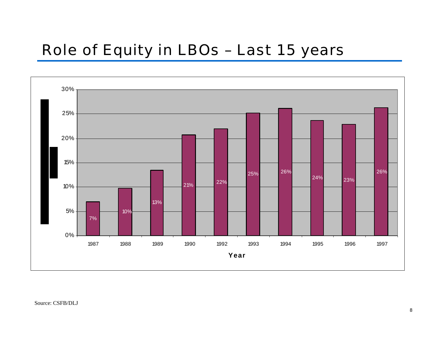# Role of Equity in LBOs – Last 15 years

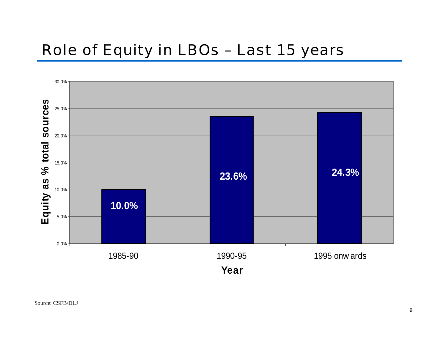# Role of Equity in LBOs – Last 15 years

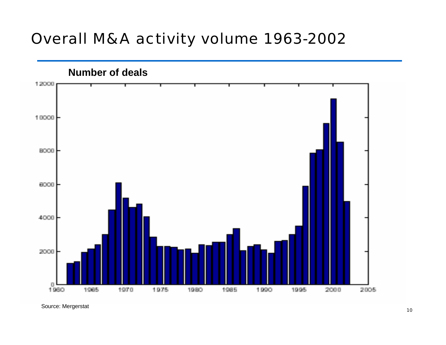# Overall M&A activity volume 1963-2002



S ource: M ergerstat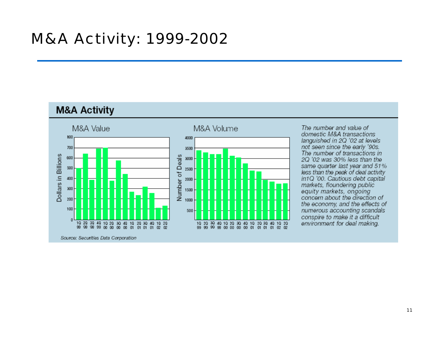#### **M&A Activity**



The number and value of domestic M&A transactions languished in 2Q '02 at levels not seen since the early '90s. The number of transactions in 2O '02 was 30% less than the same quarter last year and 51% less than the peak of deal activity in1Q '00. Cautious debt capital markets, floundering public equity markets, ongoing concern about the direction of the economy, and the effects of numerous accounting scandals conspire to make it a difficult environment for deal making.

Source: Securities Data Corporation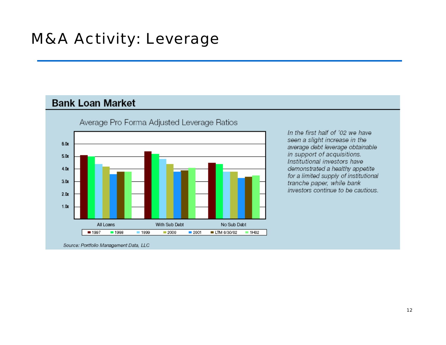#### **Bank Loan Market**



Average Pro Forma Adjusted Leverage Ratios

In the first half of '02 we have seen a slight increase in the average debt leverage obtainable in support of acquisitions. Institutional investors have demonstrated a healthy appetite for a limited supply of institutional tranche paper, while bank investors continue to be cautious.

Source: Portfolio Management Data, LLC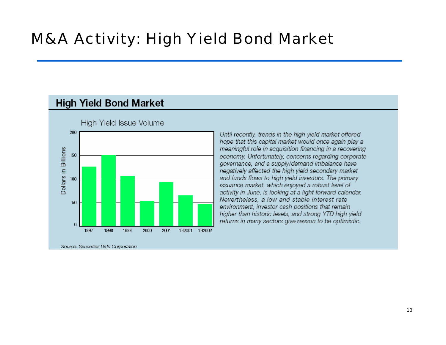#### **High Yield Bond Market**



High Yield Issue Volume

Source: Securities Data Corporation

Until recently, trends in the high yield market offered hope that this capital market would once again play a meaningful role in acquisition financing in a recovering economy. Unfortunately, concerns regarding corporate governance, and a supply/demand imbalance have negatively affected the high yield secondary market and funds flows to high yield investors. The primary issuance market, which enjoyed a robust level of activity in June, is looking at a light forward calendar. Nevertheless, a low and stable interest rate environment, investor cash positions that remain higher than historic levels, and strong YTD high yield returns in many sectors give reason to be optimistic.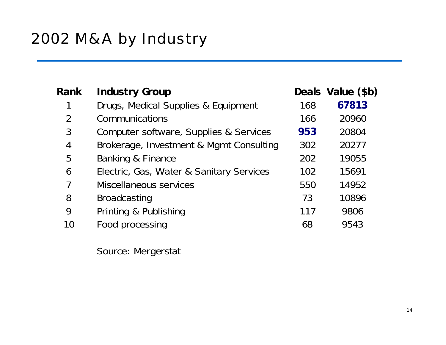| <b>Rank</b>    | <b>Industry Group</b>                    |     | Deals Value (\$b) |
|----------------|------------------------------------------|-----|-------------------|
|                | Drugs, Medical Supplies & Equipment      | 168 | 67813             |
| $\overline{2}$ | Communications                           | 166 | 20960             |
| 3              | Computer software, Supplies & Services   | 953 | 20804             |
| 4              | Brokerage, Investment & Mgmt Consulting  | 302 | 20277             |
| 5              | Banking & Finance                        | 202 | 19055             |
| 6              | Electric, Gas, Water & Sanitary Services | 102 | 15691             |
| 7              | Miscellaneous services                   | 550 | 14952             |
| 8              | <b>Broadcasting</b>                      | 73  | 10896             |
| 9              | Printing & Publishing                    | 117 | 9806              |
| 10             | Food processing                          | 68  | 9543              |
|                |                                          |     |                   |

So urc e: M erg erstat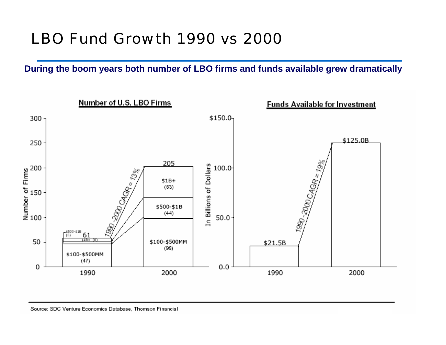# LBO Fund Growth 1990 vs 2000

**During t he boom years both n umber of LBO firms and funds available grew dramatically**

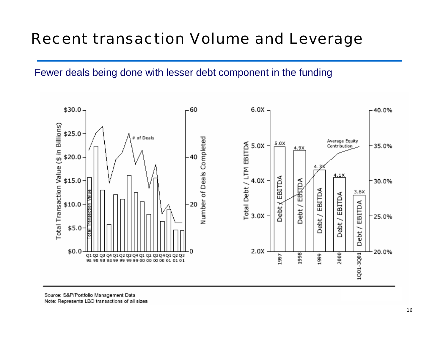# Recent transaction Volume and Leverage

#### Fewer deals being done with lesser debt component in the funding



Source: S&P/Portfolio Management Data Note: Represents LBO transactions of all sizes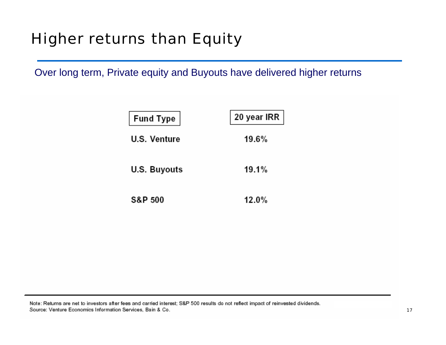# Higher returns than Equity

Over long term, Private equity and Buyouts have delivered higher returns

| Fund Type          | $\vert$ 20 year IRR $\vert$ |
|--------------------|-----------------------------|
| U.S. Venture       | 19.6%                       |
| U.S. Buyouts       | 19.1%                       |
| <b>S&amp;P 500</b> | 12.0%                       |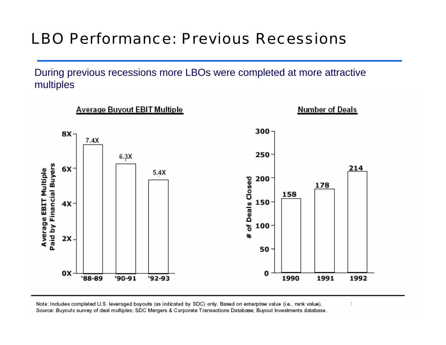# LBO Performance: Previous Recessions

During previous recessions more LBOs were completed at more attractive multiples



Note: Includes completed U.S. leveraged buyouts (as indicated by SDC) only. Based on enterprise value (i.e., rank value). Source: Buyouts survey of deal multiples; SDC Mergers & Corporate Transactions Database; Buyout Investments database.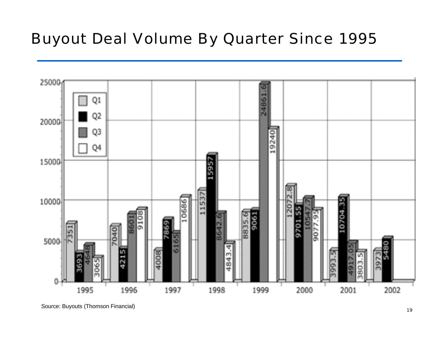# Buyout Deal Volume By Quarter Since 1995

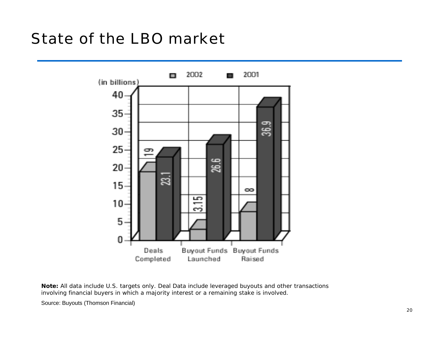# State of the LBO market



**Note:** All data include U.S. targets only. Deal Data include leveraged buyouts and other transactions involving financial buyers in which a majority interest or a remaining stake is involved.

Source: Buyouts ( Thomson Financial)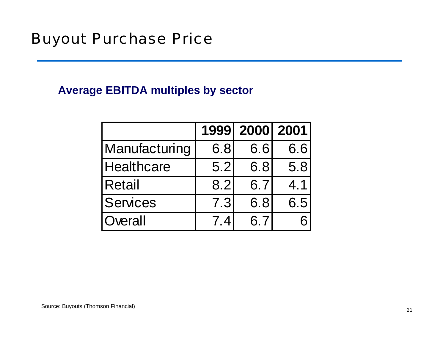#### **Average EBITDA multiples by sector**

|                   | 1999 | 2000 2001 |     |
|-------------------|------|-----------|-----|
| Manufacturing     | 6.8  | 6.6       | 6.6 |
| <b>Healthcare</b> | 5.2  | 6.8       | 5.8 |
| <b>Retail</b>     | 8.2  | 6.7       | 4.1 |
| <b>Services</b>   | 7.3  | 6.8       | 6.5 |
| Overall           | 74   | 6.7       |     |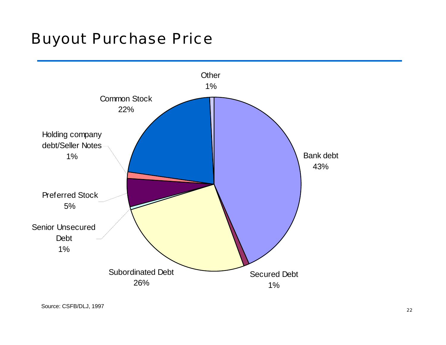### Buyout Purchase Price

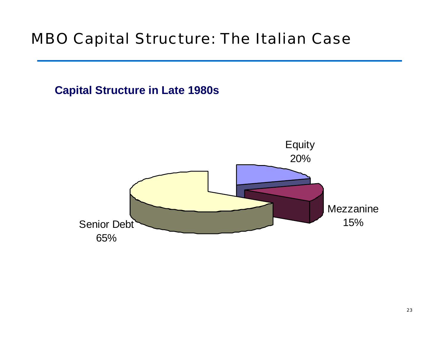# MBO Capital Structure: The Italian Case



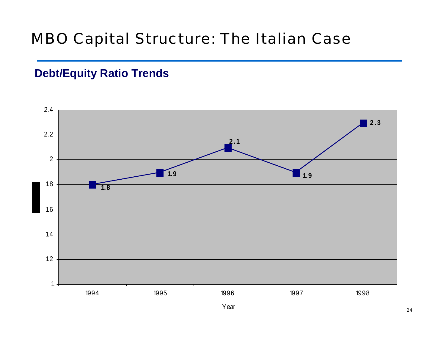# MBO Capital Structure: The Italian Case

### **Debt/Equity Ratio Trends**

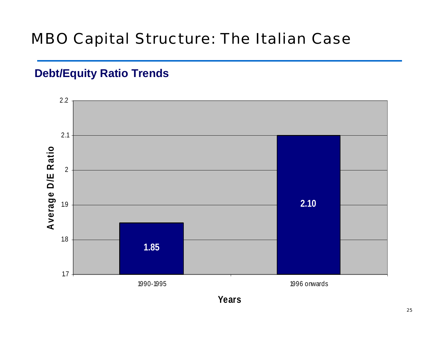# MBO Capital Structure: The Italian Case

### **Debt/Equity Ratio Trends**



**Ye a r s**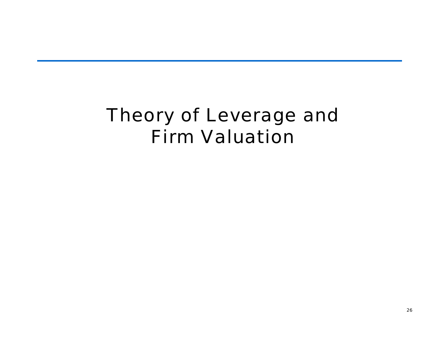# Theory of Leverage and Firm Valuation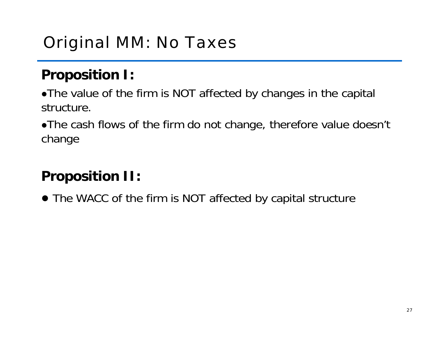# Original MM: No Taxes

# **Proposition I:**

• The value of the firm is NOT affected by changes in the capital structure.

• The cash flows of the firm do not change, therefore value doesn't change

# **Proposition II:**

• The WACC of the firm is NOT affected by capital structure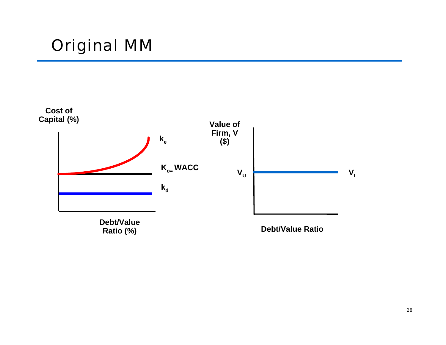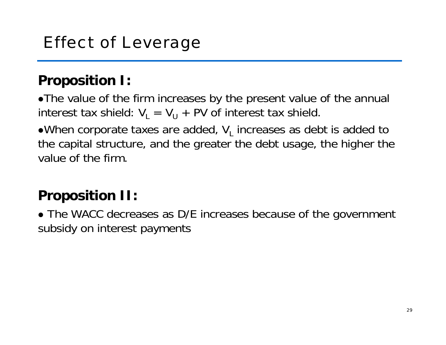## **Proposition I:**

• The value of the firm increases by the present value of the annual interest tax shield: V $_{\textrm{\tiny{L}}}$  = V $_{\textrm{\tiny{U}}}$  + PV of interest tax shield.

 $\bullet$ When corporate taxes are added,  $\mathsf{V}_\mathsf{L}$  increases as debt is added to the capital structure, and the greater the debt usage, the higher the value of the firm.

# **Proposition II:**

• The WACC decreases as D/E increases because of the government subsidy on interest payments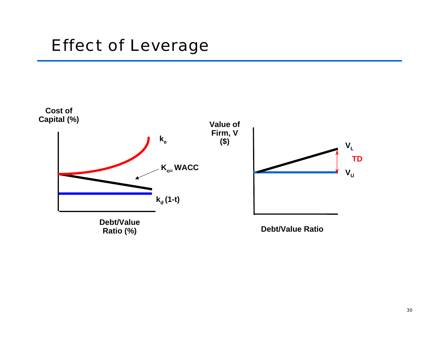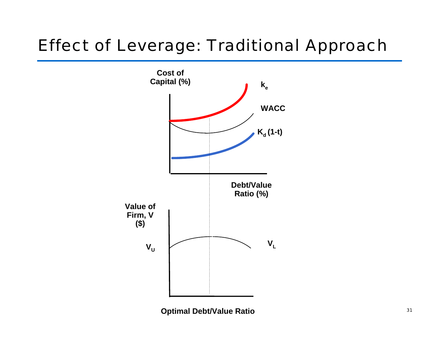# Effect of Leverage: Traditional Approach



**Optimal Debt/Value Ratio**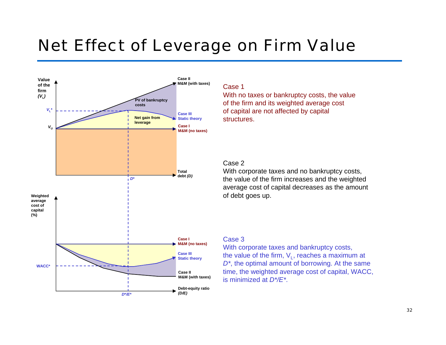# Net Effect of Leverage on Firm Value



#### Case 1

With no taxes or bankruptcy costs, the val ue of the firm and its weighted average cost of capital are not affected by capital structures.

#### Case 2

With corporate taxes and no bankruptcy costs, the val ue of the firm increases and the w eighted average cost of capital decreases as the amount of debt goes up.

#### Case 3

With corporate taxes a nd bankruptcy costs, the value of the firm,  $\mathsf{V}_{\mathsf{L}}$ , reaches a maximum at  $D^*$ , the optimal amount of borrowing. At the same time, the w eighted average cost of capital, WACC, is minimized at *D\*/E\**.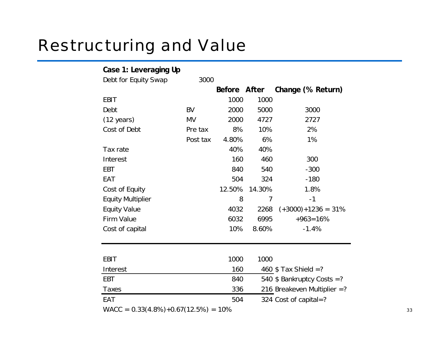# Restructuring and Value

| Case 1: Leveraging Up                  |           |              |        |                                |
|----------------------------------------|-----------|--------------|--------|--------------------------------|
| Debt for Equity Swap                   | 3000      |              |        |                                |
|                                        |           | Before After |        | Change (% Return)              |
| <b>EBIT</b>                            |           | 1000         | 1000   |                                |
| Debt                                   | <b>BV</b> | 2000         | 5000   | 3000                           |
| $(12 \text{ years})$                   | <b>MV</b> | 2000         | 4727   | 2727                           |
| Cost of Debt                           | Pre tax   | 8%           | 10%    | 2%                             |
|                                        | Post tax  | 4.80%        | 6%     | 1%                             |
| Tax rate                               |           | 40%          | 40%    |                                |
| Interest                               |           | 160          | 460    | 300                            |
| EBT                                    |           | 840          | 540    | $-300$                         |
| EAT                                    |           | 504          | 324    | $-180$                         |
| Cost of Equity                         |           | 12.50%       | 14.30% | 1.8%                           |
| <b>Equity Multiplier</b>               |           | 8            | 7      | $-1$                           |
| <b>Equity Value</b>                    |           | 4032         | 2268   | $(+3000)+1236 = 31%$           |
| Firm Value                             |           | 6032         | 6995   | $+963=16%$                     |
| Cost of capital                        |           | 10%          | 8.60%  | $-1.4%$                        |
|                                        |           |              |        |                                |
|                                        |           |              |        |                                |
| <b>EBIT</b>                            |           | 1000         | 1000   |                                |
| Interest                               |           | 160          |        | 460 $$ Tax Shield =?$          |
| <b>EBT</b>                             |           | 840          |        | 540 $$$ Bankruptcy Costs =?    |
| Taxes                                  |           | 336          |        | 216 Breakeven Multiplier $=$ ? |
| EAT                                    |           | 504          |        | 324 Cost of capital=?          |
| $WACC = 0.33(4.8%) +0.67(12.5%) = 10%$ |           |              |        |                                |

33